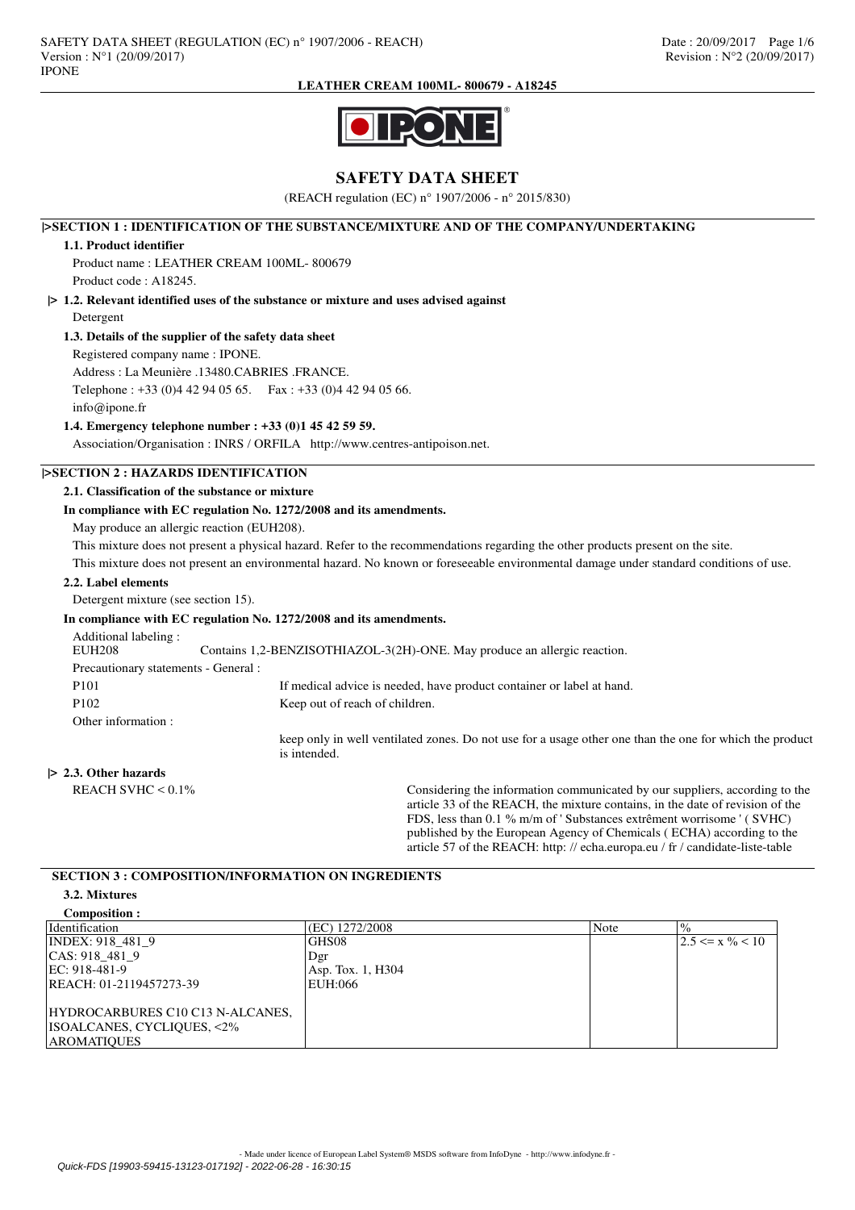**LEATHER CREAM 100ML- 800679 - A18245**



# **SAFETY DATA SHEET**

(REACH regulation (EC) n° 1907/2006 - n° 2015/830)

## **|>SECTION 1 : IDENTIFICATION OF THE SUBSTANCE/MIXTURE AND OF THE COMPANY/UNDERTAKING**

## **1.1. Product identifier**

Product name : LEATHER CREAM 100ML- 800679 Product code : A18245.

# **|> 1.2. Relevant identified uses of the substance or mixture and uses advised against**

Detergent

## **1.3. Details of the supplier of the safety data sheet**

Registered company name : IPONE.

Address : La Meunière .13480.CABRIES .FRANCE.

Telephone : +33 (0)4 42 94 05 65. Fax : +33 (0)4 42 94 05 66.

info@ipone.fr

## **1.4. Emergency telephone number : +33 (0)1 45 42 59 59.**

Association/Organisation : INRS / ORFILA http://www.centres-antipoison.net.

## **|>SECTION 2 : HAZARDS IDENTIFICATION**

## **2.1. Classification of the substance or mixture**

## **In compliance with EC regulation No. 1272/2008 and its amendments.**

May produce an allergic reaction (EUH208).

This mixture does not present a physical hazard. Refer to the recommendations regarding the other products present on the site.

This mixture does not present an environmental hazard. No known or foreseeable environmental damage under standard conditions of use.

### **2.2. Label elements**

Detergent mixture (see section 15).

#### **In compliance with EC regulation No. 1272/2008 and its amendments.**

Additional labeling :<br>EUH208 Contains 1,2-BENZISOTHIAZOL-3(2H)-ONE. May produce an allergic reaction. Precautionary statements - General : P101 If medical advice is needed, have product container or label at hand. P102 Keep out of reach of children. Other information : keep only in well ventilated zones. Do not use for a usage other one than the one for which the product is intended.

### **|> 2.3. Other hazards**

REACH SVHC < 0.1% Considering the information communicated by our suppliers, according to the article 33 of the REACH, the mixture contains, in the date of revision of the FDS, less than 0.1 % m/m of ' Substances extrêment worrisome ' ( SVHC) published by the European Agency of Chemicals ( ECHA) according to the article 57 of the REACH: http: // echa.europa.eu / fr / candidate-liste-table

## **SECTION 3 : COMPOSITION/INFORMATION ON INGREDIENTS**

### **3.2. Mixtures**

| Composition :                                                                        |                   |      |                                |
|--------------------------------------------------------------------------------------|-------------------|------|--------------------------------|
| Identification                                                                       | (EC) 1272/2008    | Note | $\frac{10}{6}$                 |
| INDEX: 918 481 9                                                                     | GHS08             |      | $ 2.5 \leq x \frac{9}{6} < 10$ |
| CAS: 918 481 9                                                                       | Dgr               |      |                                |
| EC: 918-481-9                                                                        | Asp. Tox. 1, H304 |      |                                |
| REACH: 01-2119457273-39                                                              | EUH:066           |      |                                |
| HYDROCARBURES C10 C13 N-ALCANES,<br>ISOALCANES, CYCLIQUES, <2%<br><b>AROMATIOUES</b> |                   |      |                                |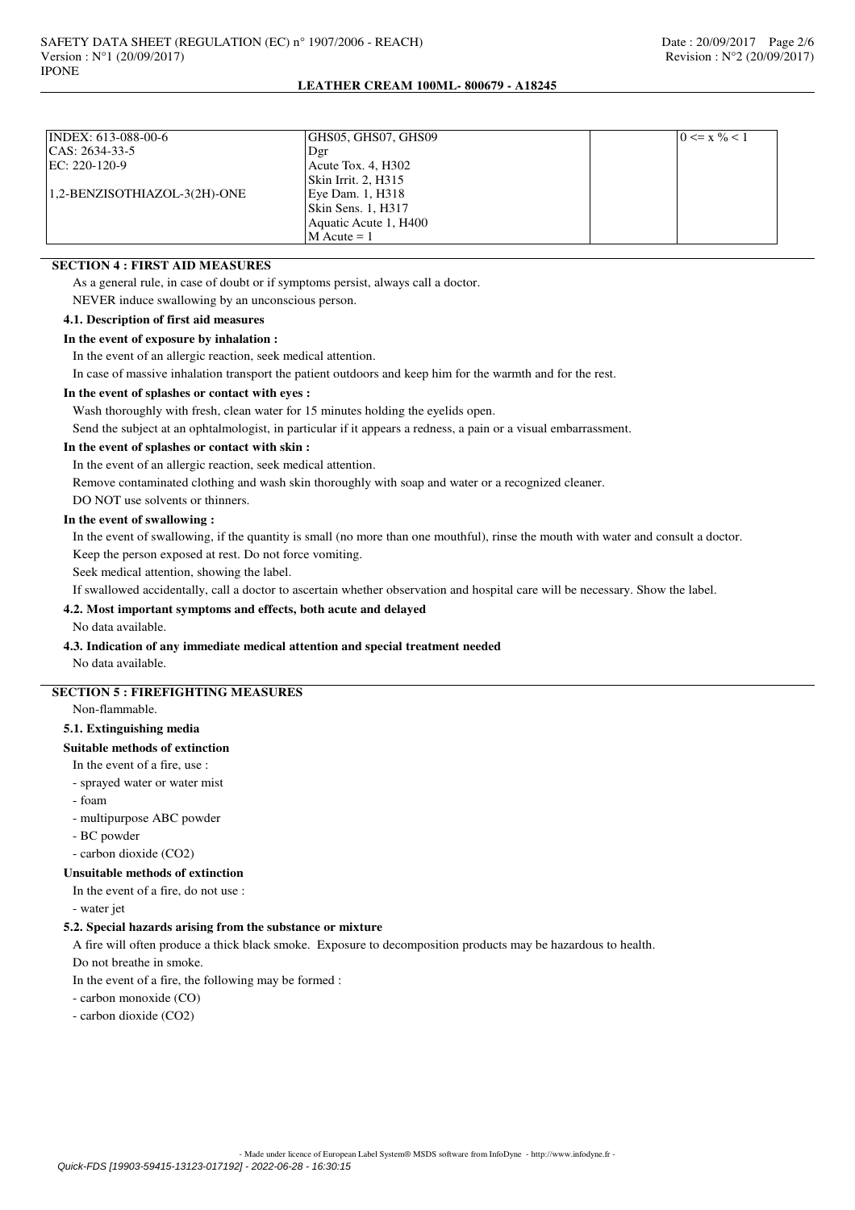## **LEATHER CREAM 100ML- 800679 - A18245**

| INDEX: 613-088-00-6          | GHS05, GHS07, GHS09   | $0 \leq x \frac{0}{6} < 1$ |
|------------------------------|-----------------------|----------------------------|
| CAS: 2634-33-5               | Dgr                   |                            |
| EC: 220-120-9                | Acute Tox. 4, H302    |                            |
|                              | Skin Irrit. 2, H315   |                            |
| 1,2-BENZISOTHIAZOL-3(2H)-ONE | Eye Dam. 1, H318      |                            |
|                              | Skin Sens. 1, H317    |                            |
|                              | Aquatic Acute 1, H400 |                            |
|                              | $M$ Acute = 1         |                            |

## **SECTION 4 : FIRST AID MEASURES**

As a general rule, in case of doubt or if symptoms persist, always call a doctor.

NEVER induce swallowing by an unconscious person.

## **4.1. Description of first aid measures**

**In the event of exposure by inhalation :**

In the event of an allergic reaction, seek medical attention.

In case of massive inhalation transport the patient outdoors and keep him for the warmth and for the rest.

#### **In the event of splashes or contact with eyes :**

Wash thoroughly with fresh, clean water for 15 minutes holding the eyelids open.

Send the subject at an ophtalmologist, in particular if it appears a redness, a pain or a visual embarrassment.

## **In the event of splashes or contact with skin :**

In the event of an allergic reaction, seek medical attention.

Remove contaminated clothing and wash skin thoroughly with soap and water or a recognized cleaner.

DO NOT use solvents or thinners.

### **In the event of swallowing :**

In the event of swallowing, if the quantity is small (no more than one mouthful), rinse the mouth with water and consult a doctor. Keep the person exposed at rest. Do not force vomiting.

Seek medical attention, showing the label.

If swallowed accidentally, call a doctor to ascertain whether observation and hospital care will be necessary. Show the label.

## **4.2. Most important symptoms and effects, both acute and delayed**

### No data available.

# **4.3. Indication of any immediate medical attention and special treatment needed**

No data available.

# **SECTION 5 : FIREFIGHTING MEASURES**

Non-flammable.

## **5.1. Extinguishing media**

# **Suitable methods of extinction**

In the event of a fire, use :

- sprayed water or water mist
- foam
- multipurpose ABC powder
- BC powder
- carbon dioxide (CO2)

#### **Unsuitable methods of extinction**

In the event of a fire, do not use :

- water jet

### **5.2. Special hazards arising from the substance or mixture**

A fire will often produce a thick black smoke. Exposure to decomposition products may be hazardous to health.

Do not breathe in smoke.

In the event of a fire, the following may be formed :

- carbon monoxide (CO)

- carbon dioxide (CO2)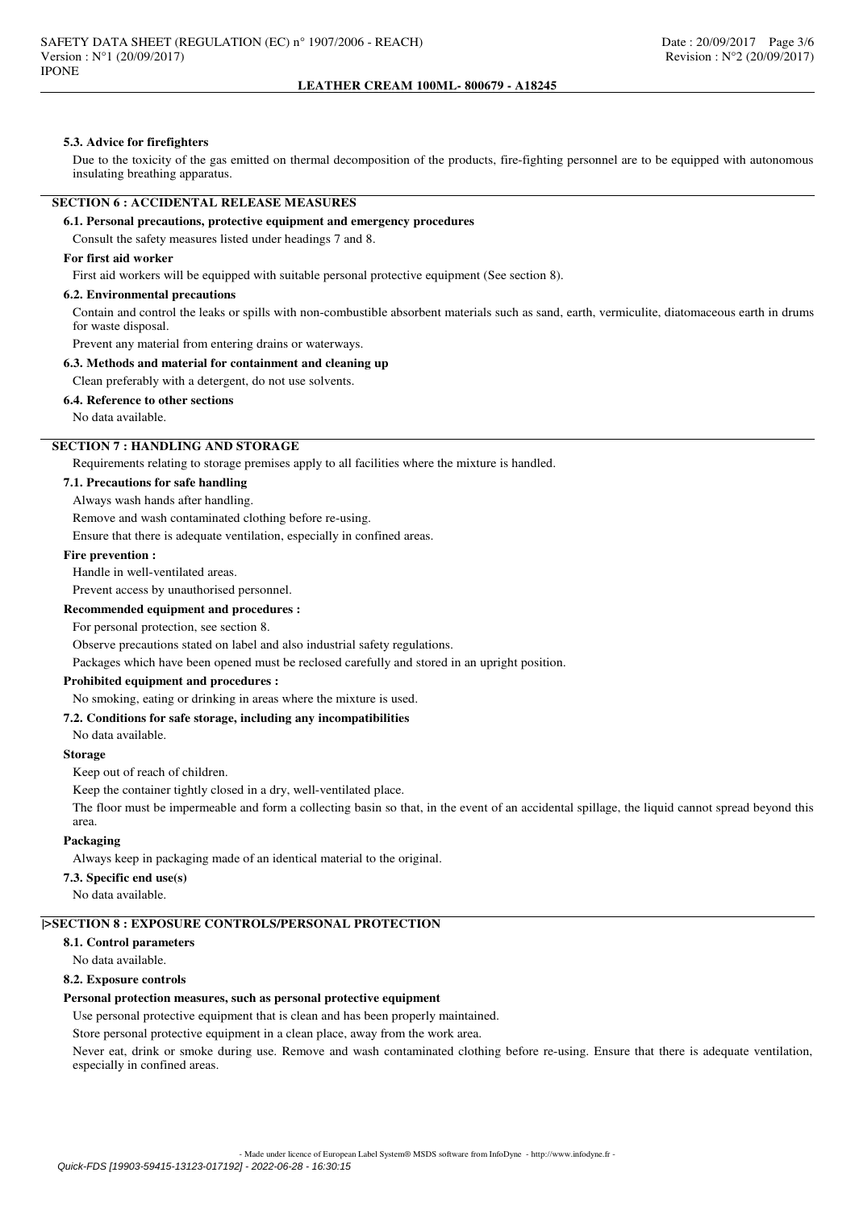### **LEATHER CREAM 100ML- 800679 - A18245**

#### **5.3. Advice for firefighters**

Due to the toxicity of the gas emitted on thermal decomposition of the products, fire-fighting personnel are to be equipped with autonomous insulating breathing apparatus.

### **SECTION 6 : ACCIDENTAL RELEASE MEASURES**

#### **6.1. Personal precautions, protective equipment and emergency procedures**

Consult the safety measures listed under headings 7 and 8.

## **For first aid worker**

First aid workers will be equipped with suitable personal protective equipment (See section 8).

#### **6.2. Environmental precautions**

Contain and control the leaks or spills with non-combustible absorbent materials such as sand, earth, vermiculite, diatomaceous earth in drums for waste disposal.

Prevent any material from entering drains or waterways.

#### **6.3. Methods and material for containment and cleaning up**

Clean preferably with a detergent, do not use solvents.

**6.4. Reference to other sections**

No data available.

## **SECTION 7 : HANDLING AND STORAGE**

Requirements relating to storage premises apply to all facilities where the mixture is handled.

## **7.1. Precautions for safe handling**

Always wash hands after handling.

Remove and wash contaminated clothing before re-using.

Ensure that there is adequate ventilation, especially in confined areas.

#### **Fire prevention :**

Handle in well-ventilated areas.

Prevent access by unauthorised personnel.

#### **Recommended equipment and procedures :**

For personal protection, see section 8.

Observe precautions stated on label and also industrial safety regulations.

Packages which have been opened must be reclosed carefully and stored in an upright position.

### **Prohibited equipment and procedures :**

No smoking, eating or drinking in areas where the mixture is used.

## **7.2. Conditions for safe storage, including any incompatibilities**

No data available.

#### **Storage**

Keep out of reach of children.

Keep the container tightly closed in a dry, well-ventilated place.

The floor must be impermeable and form a collecting basin so that, in the event of an accidental spillage, the liquid cannot spread beyond this area.

### **Packaging**

Always keep in packaging made of an identical material to the original.

### **7.3. Specific end use(s)**

No data available.

## **|>SECTION 8 : EXPOSURE CONTROLS/PERSONAL PROTECTION**

#### **8.1. Control parameters**

No data available.

## **8.2. Exposure controls**

#### **Personal protection measures, such as personal protective equipment**

Use personal protective equipment that is clean and has been properly maintained.

Store personal protective equipment in a clean place, away from the work area.

Never eat, drink or smoke during use. Remove and wash contaminated clothing before re-using. Ensure that there is adequate ventilation, especially in confined areas.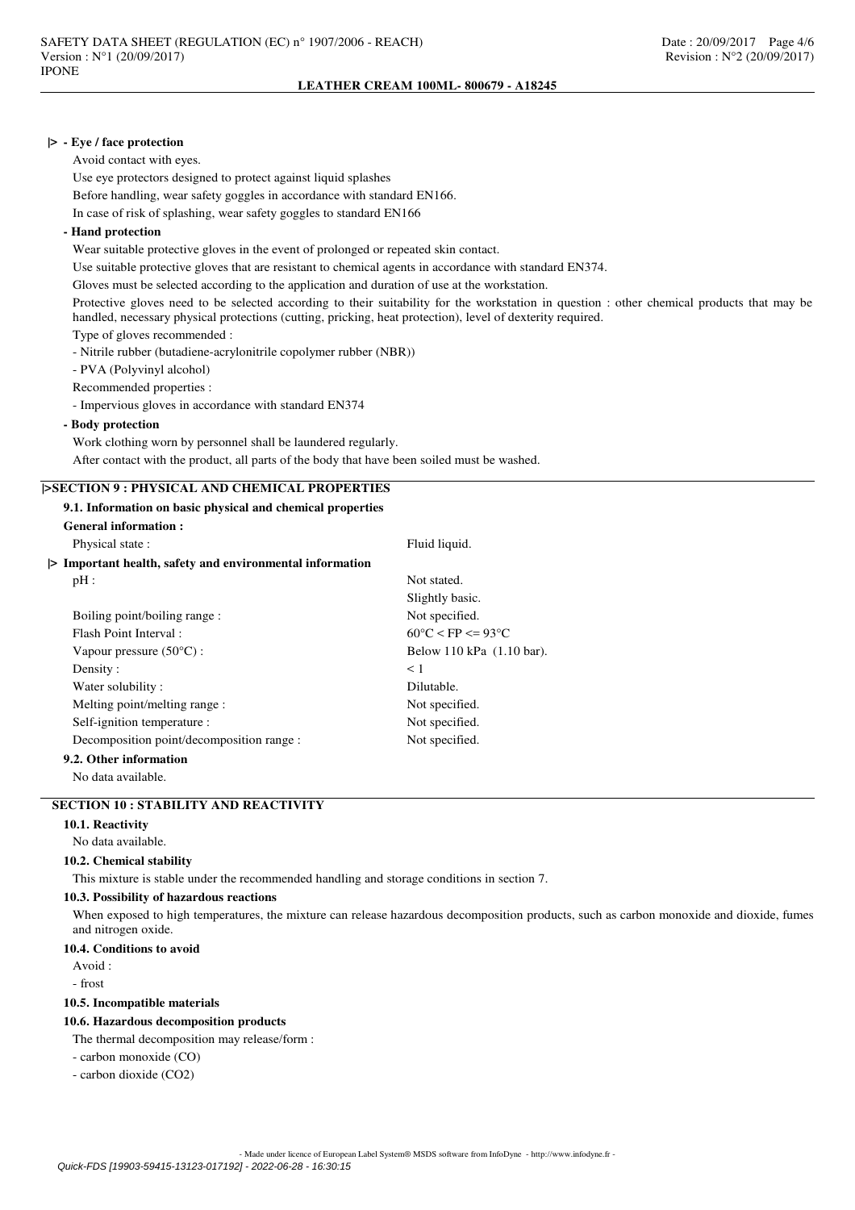### **|> - Eye / face protection**

Avoid contact with eyes.

Use eye protectors designed to protect against liquid splashes Before handling, wear safety goggles in accordance with standard EN166. In case of risk of splashing, wear safety goggles to standard EN166

## **- Hand protection**

Wear suitable protective gloves in the event of prolonged or repeated skin contact.

Use suitable protective gloves that are resistant to chemical agents in accordance with standard EN374.

Gloves must be selected according to the application and duration of use at the workstation.

Protective gloves need to be selected according to their suitability for the workstation in question : other chemical products that may be handled, necessary physical protections (cutting, pricking, heat protection), level of dexterity required.

Type of gloves recommended :

- Nitrile rubber (butadiene-acrylonitrile copolymer rubber (NBR))

- PVA (Polyvinyl alcohol)

Recommended properties :

- Impervious gloves in accordance with standard EN374

## **- Body protection**

Work clothing worn by personnel shall be laundered regularly.

After contact with the product, all parts of the body that have been soiled must be washed.

# **|>SECTION 9 : PHYSICAL AND CHEMICAL PROPERTIES**

|  |  |  |  |  | 9.1. Information on basic physical and chemical properties |
|--|--|--|--|--|------------------------------------------------------------|
|--|--|--|--|--|------------------------------------------------------------|

| <b>General information:</b>                              |                                        |
|----------------------------------------------------------|----------------------------------------|
| Physical state :                                         | Fluid liquid.                          |
| > Important health, safety and environmental information |                                        |
| pH:                                                      | Not stated.                            |
|                                                          | Slightly basic.                        |
| Boiling point/boiling range:                             | Not specified.                         |
| Flash Point Interval:                                    | $60^{\circ}$ C < FP <= 93 $^{\circ}$ C |
| Vapour pressure $(50^{\circ}C)$ :                        | Below 110 kPa (1.10 bar).              |
| Density:                                                 | $<$ 1                                  |
| Water solubility:                                        | Dilutable.                             |
| Melting point/melting range:                             | Not specified.                         |
| Self-ignition temperature :                              | Not specified.                         |
| Decomposition point/decomposition range :                | Not specified.                         |
| 9.2. Other information                                   |                                        |

No data available.

# **SECTION 10 : STABILITY AND REACTIVITY**

## **10.1. Reactivity**

No data available.

#### **10.2. Chemical stability**

This mixture is stable under the recommended handling and storage conditions in section 7.

#### **10.3. Possibility of hazardous reactions**

When exposed to high temperatures, the mixture can release hazardous decomposition products, such as carbon monoxide and dioxide, fumes and nitrogen oxide.

#### **10.4. Conditions to avoid**

 $Avoid$ 

- frost

### **10.5. Incompatible materials**

## **10.6. Hazardous decomposition products**

The thermal decomposition may release/form :

- carbon monoxide (CO)

- carbon dioxide (CO2)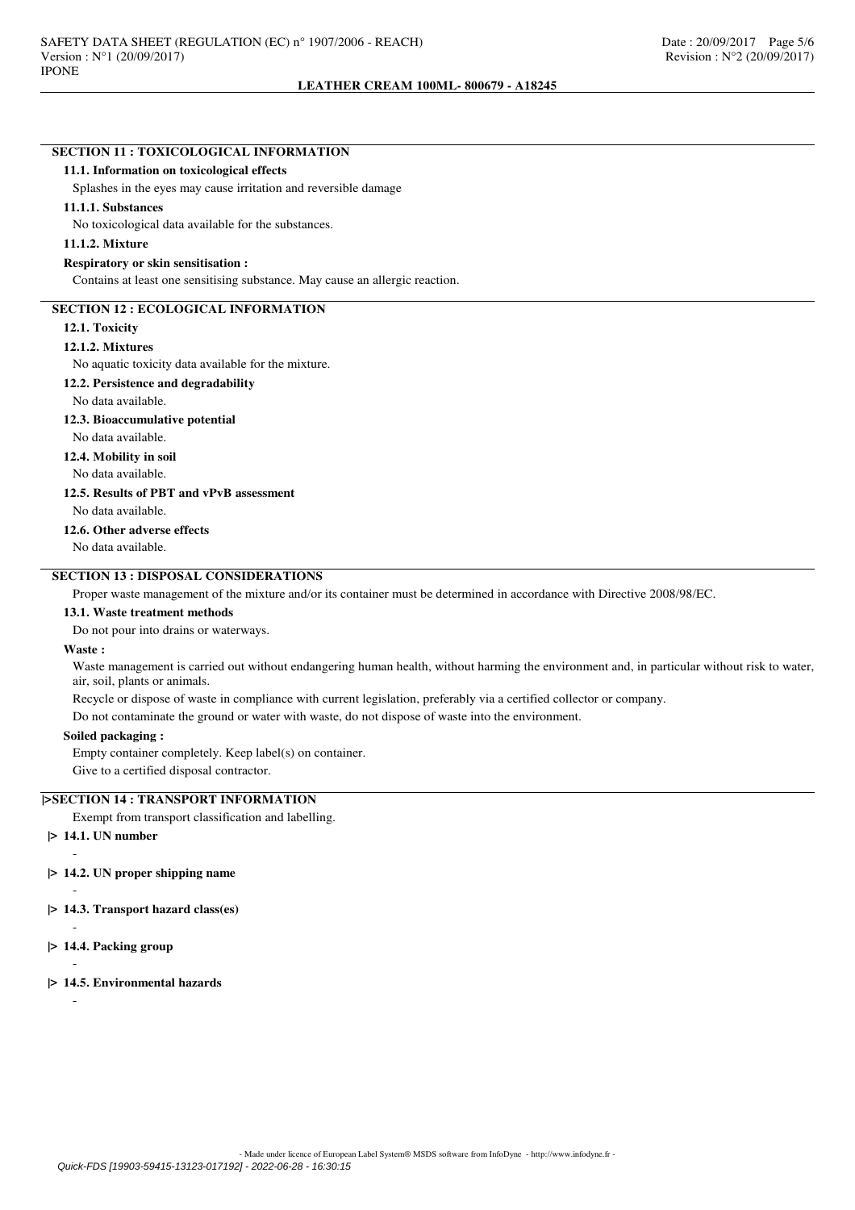# **SECTION 11 : TOXICOLOGICAL INFORMATION**

#### **11.1. Information on toxicological effects**

Splashes in the eyes may cause irritation and reversible damage

#### **11.1.1. Substances**

No toxicological data available for the substances.

### **11.1.2. Mixture**

#### **Respiratory or skin sensitisation :**

Contains at least one sensitising substance. May cause an allergic reaction.

## **SECTION 12 : ECOLOGICAL INFORMATION**

#### **12.1. Toxicity**

#### **12.1.2. Mixtures**

No aquatic toxicity data available for the mixture.

#### **12.2. Persistence and degradability**

No data available.

#### **12.3. Bioaccumulative potential**

No data available.

**12.4. Mobility in soil**

No data available.

## **12.5. Results of PBT and vPvB assessment**

No data available.

# **12.6. Other adverse effects**

No data available.

## **SECTION 13 : DISPOSAL CONSIDERATIONS**

Proper waste management of the mixture and/or its container must be determined in accordance with Directive 2008/98/EC.

### **13.1. Waste treatment methods**

Do not pour into drains or waterways.

## **Waste :**

Waste management is carried out without endangering human health, without harming the environment and, in particular without risk to water, air, soil, plants or animals.

Recycle or dispose of waste in compliance with current legislation, preferably via a certified collector or company.

Do not contaminate the ground or water with waste, do not dispose of waste into the environment.

#### **Soiled packaging :**

Empty container completely. Keep label(s) on container.

Give to a certified disposal contractor.

## **|>SECTION 14 : TRANSPORT INFORMATION**

Exempt from transport classification and labelling.

# **|> 14.1. UN number**

-

-

-

-

## **|> 14.2. UN proper shipping name**

- **|> 14.3. Transport hazard class(es)**
- **|> 14.4. Packing group**
- **|> 14.5. Environmental hazards**